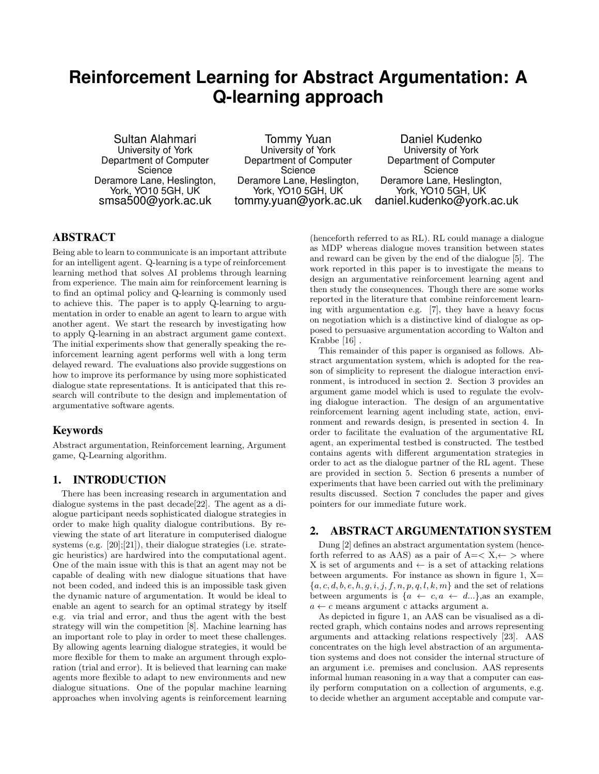# **Reinforcement Learning for Abstract Argumentation: A Q-learning approach**

Sultan Alahmari University of York Department of Computer **Science** Deramore Lane, Heslington, York, YO10 5GH, UK smsa500@york.ac.uk

Tommy Yuan University of York Department of Computer **Science** Deramore Lane, Heslington, York, YO10 5GH, UK tommy.yuan@york.ac.uk

Daniel Kudenko University of York Department of Computer **Science** Deramore Lane, Heslington, York, YO10 5GH, UK daniel.kudenko@york.ac.uk

# ABSTRACT

Being able to learn to communicate is an important attribute for an intelligent agent. Q-learning is a type of reinforcement learning method that solves AI problems through learning from experience. The main aim for reinforcement learning is to find an optimal policy and Q-learning is commonly used to achieve this. The paper is to apply Q-learning to argumentation in order to enable an agent to learn to argue with another agent. We start the research by investigating how to apply Q-learning in an abstract argument game context. The initial experiments show that generally speaking the reinforcement learning agent performs well with a long term delayed reward. The evaluations also provide suggestions on how to improve its performance by using more sophisticated dialogue state representations. It is anticipated that this research will contribute to the design and implementation of argumentative software agents.

## Keywords

Abstract argumentation, Reinforcement learning, Argument game, Q-Learning algorithm.

## 1. INTRODUCTION

There has been increasing research in argumentation and dialogue systems in the past decade[22]. The agent as a dialogue participant needs sophisticated dialogue strategies in order to make high quality dialogue contributions. By reviewing the state of art literature in computerised dialogue systems (e.g. [20];[21]), their dialogue strategies (i.e. strategic heuristics) are hardwired into the computational agent. One of the main issue with this is that an agent may not be capable of dealing with new dialogue situations that have not been coded, and indeed this is an impossible task given the dynamic nature of argumentation. It would be ideal to enable an agent to search for an optimal strategy by itself e.g. via trial and error, and thus the agent with the best strategy will win the competition [8]. Machine learning has an important role to play in order to meet these challenges. By allowing agents learning dialogue strategies, it would be more flexible for them to make an argument through exploration (trial and error). It is believed that learning can make agents more flexible to adapt to new environments and new dialogue situations. One of the popular machine learning approaches when involving agents is reinforcement learning

(henceforth referred to as RL). RL could manage a dialogue as MDP whereas dialogue moves transition between states and reward can be given by the end of the dialogue [5]. The work reported in this paper is to investigate the means to design an argumentative reinforcement learning agent and then study the consequences. Though there are some works reported in the literature that combine reinforcement learning with argumentation e.g. [7], they have a heavy focus on negotiation which is a distinctive kind of dialogue as opposed to persuasive argumentation according to Walton and Krabbe [16] .

This remainder of this paper is organised as follows. Abstract argumentation system, which is adopted for the reason of simplicity to represent the dialogue interaction environment, is introduced in section 2. Section 3 provides an argument game model which is used to regulate the evolving dialogue interaction. The design of an argumentative reinforcement learning agent including state, action, environment and rewards design, is presented in section 4. In order to facilitate the evaluation of the argumentative RL agent, an experimental testbed is constructed. The testbed contains agents with different argumentation strategies in order to act as the dialogue partner of the RL agent. These are provided in section 5. Section 6 presents a number of experiments that have been carried out with the preliminary results discussed. Section 7 concludes the paper and gives pointers for our immediate future work.

# 2. ABSTRACT ARGUMENTATION SYSTEM

Dung [2] defines an abstract argumentation system (henceforth referred to as AAS) as a pair of  $A = \langle X, \leftarrow \rangle$  where X is set of arguments and  $\leftarrow$  is a set of attacking relations between arguments. For instance as shown in figure 1,  $X=$  ${a, c, d, b, e, h, g, i, j, f, n, p, q, l, k, m}$  and the set of relations between arguments is  $\{a \leftarrow c, a \leftarrow d...\}$ , as an example,  $a \leftarrow c$  means argument c attacks argument a.

As depicted in figure 1, an AAS can be visualised as a directed graph, which contains nodes and arrows representing arguments and attacking relations respectively [23]. AAS concentrates on the high level abstraction of an argumentation systems and does not consider the internal structure of an argument i.e. premises and conclusion. AAS represents informal human reasoning in a way that a computer can easily perform computation on a collection of arguments, e.g. to decide whether an argument acceptable and compute var-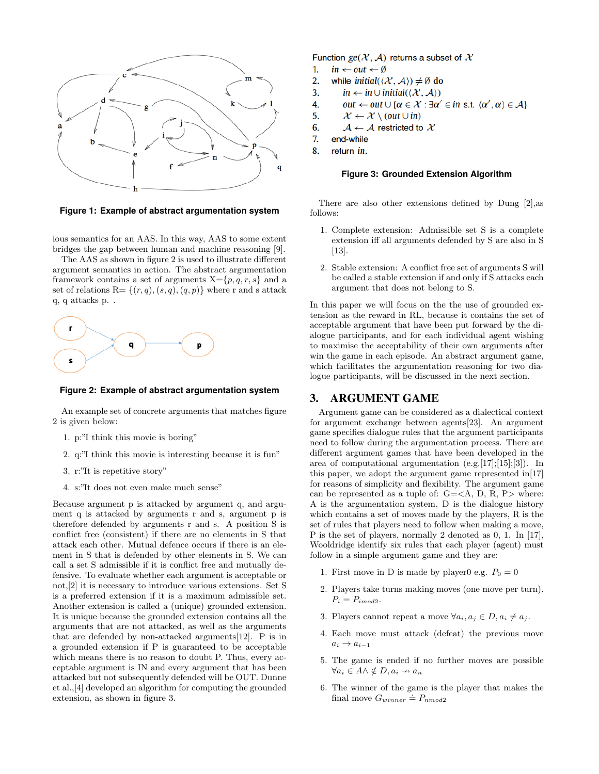



ious semantics for an AAS. In this way, AAS to some extent bridges the gap between human and machine reasoning [9].

The AAS as shown in figure 2 is used to illustrate different argument semantics in action. The abstract argumentation framework contains a set of arguments  $X = \{p, q, r, s\}$  and a set of relations  $R = \{(r, q), (s, q), (q, p)\}\$  where r and s attack q, q attacks p. .



#### **Figure 2: Example of abstract argumentation system**

An example set of concrete arguments that matches figure 2 is given below:

- 1. p:"I think this movie is boring"
- 2. q:"I think this movie is interesting because it is fun"
- 3. r:"It is repetitive story"
- 4. s:"It does not even make much sense"

Because argument p is attacked by argument q, and argument q is attacked by arguments r and s, argument p is therefore defended by arguments r and s. A position S is conflict free (consistent) if there are no elements in S that attack each other. Mutual defence occurs if there is an element in S that is defended by other elements in S. We can call a set S admissible if it is conflict free and mutually defensive. To evaluate whether each argument is acceptable or not,[2] it is necessary to introduce various extensions. Set S is a preferred extension if it is a maximum admissible set. Another extension is called a (unique) grounded extension. It is unique because the grounded extension contains all the arguments that are not attacked, as well as the arguments that are defended by non-attacked arguments[12]. P is in a grounded extension if P is guaranteed to be acceptable which means there is no reason to doubt P. Thus, every acceptable argument is IN and every argument that has been attacked but not subsequently defended will be OUT. Dunne et al.,[4] developed an algorithm for computing the grounded extension, as shown in figure 3.

Function  $ge(X, A)$  returns a subset of X

- 1.  $in \leftarrow out \leftarrow \emptyset$
- 2. while initial( $\langle \mathcal{X}, \mathcal{A} \rangle$ )  $\neq \emptyset$  do
- 3. in  $\leftarrow$  in  $\cup$  initial( $\langle \mathcal{X}, \mathcal{A} \rangle$ )
- 4. out  $\leftarrow$  out  $\cup$  { $\alpha \in \mathcal{X}$  :  $\exists \alpha' \in \text{in s.t. } \langle \alpha', \alpha \rangle \in \mathcal{A}$ }
- 5.  $\mathcal{X} \leftarrow \mathcal{X} \setminus (out \cup in)$
- 6.  $\mathcal{A} \leftarrow \mathcal{A}$  restricted to  $\mathcal{X}$
- 7. end-while
- 8. return in.

#### **Figure 3: Grounded Extension Algorithm**

There are also other extensions defined by Dung [2],as follows:

- 1. Complete extension: Admissible set S is a complete extension iff all arguments defended by S are also in S [13].
- 2. Stable extension: A conflict free set of arguments S will be called a stable extension if and only if S attacks each argument that does not belong to S.

In this paper we will focus on the the use of grounded extension as the reward in RL, because it contains the set of acceptable argument that have been put forward by the dialogue participants, and for each individual agent wishing to maximise the acceptability of their own arguments after win the game in each episode. An abstract argument game, which facilitates the argumentation reasoning for two dialogue participants, will be discussed in the next section.

## 3. ARGUMENT GAME

Argument game can be considered as a dialectical context for argument exchange between agents[23]. An argument game specifies dialogue rules that the argument participants need to follow during the argumentation process. There are different argument games that have been developed in the area of computational argumentation  $(e.g. [17]; [15]; [3])$ . In this paper, we adopt the argument game represented in[17] for reasons of simplicity and flexibility. The argument game can be represented as a tuple of:  $G = \langle A, D, R, P \rangle$  where: A is the argumentation system, D is the dialogue history which contains a set of moves made by the players, R is the set of rules that players need to follow when making a move, P is the set of players, normally 2 denoted as 0, 1. In [17], Wooldridge identify six rules that each player (agent) must follow in a simple argument game and they are:

- 1. First move in D is made by player0 e.g.  $P_0 = 0$
- 2. Players take turns making moves (one move per turn).  $P_i = P_{imod2}.$
- 3. Players cannot repeat a move  $\forall a_i, a_j \in D, a_i \neq a_j$ .
- 4. Each move must attack (defeat) the previous move  $a_i \rightarrow a_{i-1}$
- 5. The game is ended if no further moves are possible  $\forall a_i \in A \land \notin D, a_i \nrightarrow a_n$
- 6. The winner of the game is the player that makes the final move  $G_{winner} \doteq P_{nmod2}$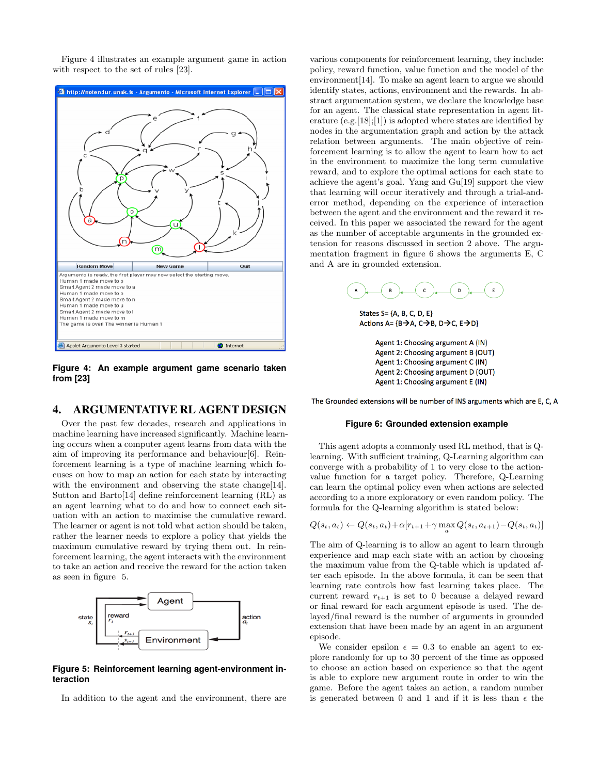Figure 4 illustrates an example argument game in action with respect to the set of rules [23].



**Figure 4: An example argument game scenario taken from [23]**

# 4. ARGUMENTATIVE RL AGENT DESIGN

Over the past few decades, research and applications in machine learning have increased significantly. Machine learning occurs when a computer agent learns from data with the aim of improving its performance and behaviour[6]. Reinforcement learning is a type of machine learning which focuses on how to map an action for each state by interacting with the environment and observing the state change[14]. Sutton and Barto[14] define reinforcement learning (RL) as an agent learning what to do and how to connect each situation with an action to maximise the cumulative reward. The learner or agent is not told what action should be taken, rather the learner needs to explore a policy that yields the maximum cumulative reward by trying them out. In reinforcement learning, the agent interacts with the environment to take an action and receive the reward for the action taken as seen in figure 5.



**Figure 5: Reinforcement learning agent-environment interaction**

In addition to the agent and the environment, there are

various components for reinforcement learning, they include: policy, reward function, value function and the model of the environment[14]. To make an agent learn to argue we should identify states, actions, environment and the rewards. In abstract argumentation system, we declare the knowledge base for an agent. The classical state representation in agent literature  $(e.g. [18]; [1])$  is adopted where states are identified by nodes in the argumentation graph and action by the attack relation between arguments. The main objective of reinforcement learning is to allow the agent to learn how to act in the environment to maximize the long term cumulative reward, and to explore the optimal actions for each state to achieve the agent's goal. Yang and Gu[19] support the view that learning will occur iteratively and through a trial-anderror method, depending on the experience of interaction between the agent and the environment and the reward it received. In this paper we associated the reward for the agent as the number of acceptable arguments in the grounded extension for reasons discussed in section 2 above. The argumentation fragment in figure 6 shows the arguments E, C and A are in grounded extension.



States S= $\{A, B, C, D, E\}$ Actions A= {B $\rightarrow$ A, C $\rightarrow$ B, D $\rightarrow$ C, E $\rightarrow$ D}

Agent 1: Choosing argument A (IN) Agent 2: Choosing argument B (OUT) Agent 1: Choosing argument C (IN) Agent 2: Choosing argument D (OUT) Agent 1: Choosing argument E (IN)

The Grounded extensions will be number of INS arguments which are E, C, A

#### **Figure 6: Grounded extension example**

This agent adopts a commonly used RL method, that is Qlearning. With sufficient training, Q-Learning algorithm can converge with a probability of 1 to very close to the actionvalue function for a target policy. Therefore, Q-Learning can learn the optimal policy even when actions are selected according to a more exploratory or even random policy. The formula for the Q-learning algorithm is stated below:

$$
Q(s_t, a_t) \leftarrow Q(s_t, a_t) + \alpha [r_{t+1} + \gamma \max_a Q(s_t, a_{t+1}) - Q(s_t, a_t)]
$$

The aim of Q-learning is to allow an agent to learn through experience and map each state with an action by choosing the maximum value from the Q-table which is updated after each episode. In the above formula, it can be seen that learning rate controls how fast learning takes place. The current reward  $r_{t+1}$  is set to 0 because a delayed reward or final reward for each argument episode is used. The delayed/final reward is the number of arguments in grounded extension that have been made by an agent in an argument episode.

We consider epsilon  $\epsilon = 0.3$  to enable an agent to explore randomly for up to 30 percent of the time as opposed to choose an action based on experience so that the agent is able to explore new argument route in order to win the game. Before the agent takes an action, a random number is generated between 0 and 1 and if it is less than  $\epsilon$  the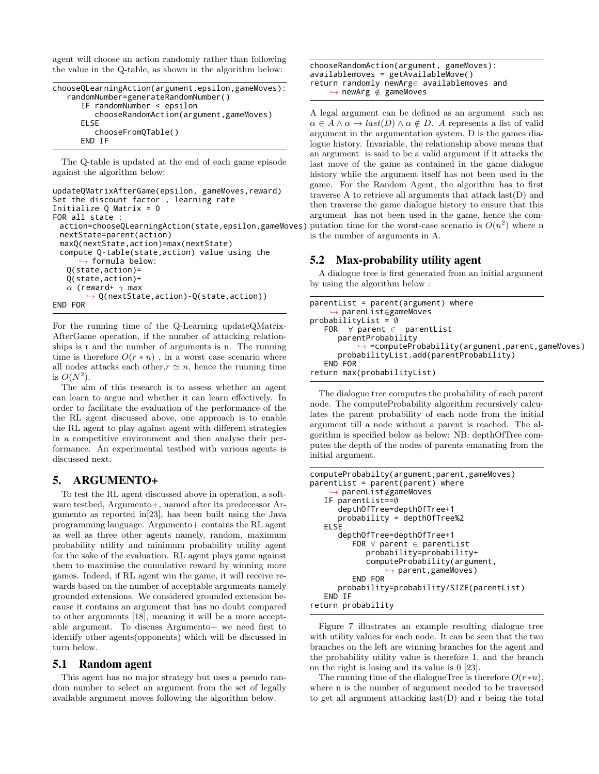agent will choose an action randomly rather than following the value in the Q-table, as shown in the algorithm below:

```
chooseQLearningAction(argument,epsilon,gameMoves):
   randomNumber=generateRandomNumber()
     IF randomNumber < epsilon
        chooseRandomAction(argument,gameMoves)
     ELSE
        chooseFromQTable()
     END IF
```
The Q-table is updated at the end of each game episode against the algorithm below:

```
updateQMatrixAfterGame(epsilon, gameMoves,reward)
Set the discount factor , learning rate
Initialize Q Matrix = 0
FOR all state
 action=chooseQLearningAction(state,epsilon,gameMoves)
 nextState=parent(action)
 maxQ(nextState,action)=max(nextState)
 compute Q-table(state,action) value using the
      \hookrightarrow formula below:
   Q(state,action)=
   Q(state,action)+
   \alpha (reward+ \gamma max
          ,→ Q(nextState,action)-Q(state,action))
END FOR
```
For the running time of the Q-Learning updateQMatrix-AfterGame operation, if the number of attacking relationships is r and the number of arguments is n. The running time is therefore  $O(r * n)$ , in a worst case scenario where all nodes attacks each other,  $r \simeq n$ , hence the running time is  $O(N^2)$ .

The aim of this research is to assess whether an agent can learn to argue and whether it can learn effectively. In order to facilitate the evaluation of the performance of the the RL agent discussed above, one approach is to enable the RL agent to play against agent with different strategies in a competitive environment and then analyse their performance. An experimental testbed with various agents is discussed next.

## 5. ARGUMENTO+

To test the RL agent discussed above in operation, a software testbed, Argumento+, named after its predecessor Argumento as reported in[23], has been built using the Java programming language. Argumento+ contains the RL agent as well as three other agents namely, random, maximum probability utility and minimum probability utility agent for the sake of the evaluation. RL agent plays game against them to maximise the cumulative reward by winning more games. Indeed, if RL agent win the game, it will receive rewards based on the number of acceptable arguments namely grounded extensions. We considered grounded extension because it contains an argument that has no doubt compared to other arguments [18], meaning it will be a more acceptable argument. To discuss Argumento+ we need first to identify other agents(opponents) which will be discussed in turn below.

## 5.1 Random agent

This agent has no major strategy but uses a pseudo random number to select an argument from the set of legally available argument moves following the algorithm below.

chooseRandomAction(argument, gameMoves): availablemoves = getAvailableMove() return randomly newArg∈ availablemoves and ,→ newArg ∈/ gameMoves

A legal argument can be defined as an argument such as:  $\alpha \in A \wedge \alpha \to last(D) \wedge \alpha \notin D$ . A represents a list of valid argument in the argumentation system, D is the games dialogue history. Invariable, the relationship above means that an argument is said to be a valid argument if it attacks the last move of the game as contained in the game dialogue history while the argument itself has not been used in the game. For the Random Agent, the algorithm has to first traverse A to retrieve all arguments that attack last(D) and then traverse the game dialogue history to ensure that this argument has not been used in the game, hence the computation time for the worst-case scenario is  $O(n^2)$  where n is the number of arguments in A.

## 5.2 Max-probability utility agent

A dialogue tree is first generated from an initial argument by using the algorithm below :

```
parentList = parent(argument) where
    ,→ parenList∈gameMoves
probabilityList = ∅
   FOR ∀ parent ∈ parentList
      parentProbability
          ,→ =computeProbability(argument,parent,gameMoves)
      probabilityList.add(parentProbability)
   END FOR
return max(probabilityList)
```
The dialogue tree computes the probability of each parent node. The computeProbability algorithm recursively calculates the parent probability of each node from the initial argument till a node without a parent is reached. The algorithm is specified below as below: NB: depthOfTree computes the depth of the nodes of parents emanating from the initial argument.

```
computeProbabilty(argument,parent,gameMoves)
parentList = parent(parent) where
      parenList∉gameMoves
   IF parentList==∅
      depthOfTree=depthOfTree+1
      probability = depthOfTree%2
   ELSE
      depthOfTree=depthOfTree+1
         FOR ∀ parent ∈ parentList
            probability=probability+
            computeProbability(argument,
                → parent, gameMoves)
         END FOR
      probability=probability/SIZE(parentList)
   END IF
return probability
```
Figure 7 illustrates an example resulting dialogue tree with utility values for each node. It can be seen that the two branches on the left are winning branches for the agent and the probability utility value is therefore 1, and the branch on the right is losing and its value is 0 [23].

The running time of the dialogueTree is therefore  $O(r*n)$ , where n is the number of argument needed to be traversed to get all argument attacking last(D) and r being the total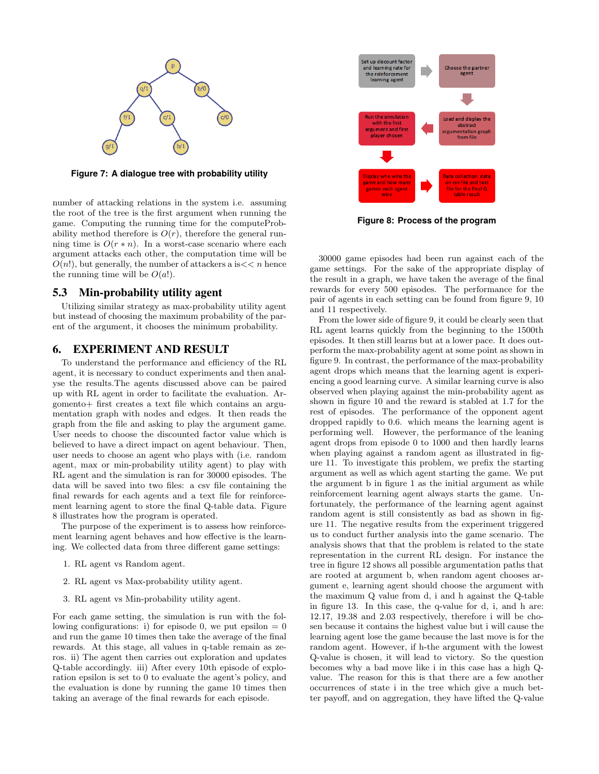

**Figure 7: A dialogue tree with probability utility**

number of attacking relations in the system i.e. assuming the root of the tree is the first argument when running the game. Computing the running time for the computeProbability method therefore is  $O(r)$ , therefore the general running time is  $O(r * n)$ . In a worst-case scenario where each argument attacks each other, the computation time will be  $O(n!)$ , but generally, the number of attackers a is  $<< n$  hence the running time will be  $O(a!)$ .

# 5.3 Min-probability utility agent

Utilizing similar strategy as max-probability utility agent but instead of choosing the maximum probability of the parent of the argument, it chooses the minimum probability.

## 6. EXPERIMENT AND RESULT

To understand the performance and efficiency of the RL agent, it is necessary to conduct experiments and then analyse the results.The agents discussed above can be paired up with RL agent in order to facilitate the evaluation. Argomento+ first creates a text file which contains an argumentation graph with nodes and edges. It then reads the graph from the file and asking to play the argument game. User needs to choose the discounted factor value which is believed to have a direct impact on agent behaviour. Then, user needs to choose an agent who plays with (i.e. random agent, max or min-probability utility agent) to play with RL agent and the simulation is ran for 30000 episodes. The data will be saved into two files: a csv file containing the final rewards for each agents and a text file for reinforcement learning agent to store the final Q-table data. Figure 8 illustrates how the program is operated.

The purpose of the experiment is to assess how reinforcement learning agent behaves and how effective is the learning. We collected data from three different game settings:

- 1. RL agent vs Random agent.
- 2. RL agent vs Max-probability utility agent.
- 3. RL agent vs Min-probability utility agent.

For each game setting, the simulation is run with the following configurations: i) for episode 0, we put epsilon  $= 0$ and run the game 10 times then take the average of the final rewards. At this stage, all values in q-table remain as zeros. ii) The agent then carries out exploration and updates Q-table accordingly. iii) After every 10th episode of exploration epsilon is set to 0 to evaluate the agent's policy, and the evaluation is done by running the game 10 times then taking an average of the final rewards for each episode.



**Figure 8: Process of the program**

30000 game episodes had been run against each of the game settings. For the sake of the appropriate display of the result in a graph, we have taken the average of the final rewards for every 500 episodes. The performance for the pair of agents in each setting can be found from figure 9, 10 and 11 respectively.

From the lower side of figure 9, it could be clearly seen that RL agent learns quickly from the beginning to the 1500th episodes. It then still learns but at a lower pace. It does outperform the max-probability agent at some point as shown in figure 9. In contrast, the performance of the max-probability agent drops which means that the learning agent is experiencing a good learning curve. A similar learning curve is also observed when playing against the min-probability agent as shown in figure 10 and the reward is stabled at 1.7 for the rest of episodes. The performance of the opponent agent dropped rapidly to 0.6. which means the learning agent is performing well. However, the performance of the leaning agent drops from episode 0 to 1000 and then hardly learns when playing against a random agent as illustrated in figure 11. To investigate this problem, we prefix the starting argument as well as which agent starting the game. We put the argument b in figure 1 as the initial argument as while reinforcement learning agent always starts the game. Unfortunately, the performance of the learning agent against random agent is still consistently as bad as shown in figure 11. The negative results from the experiment triggered us to conduct further analysis into the game scenario. The analysis shows that that the problem is related to the state representation in the current RL design. For instance the tree in figure 12 shows all possible argumentation paths that are rooted at argument b, when random agent chooses argument e, learning agent should choose the argument with the maximum Q value from d, i and h against the Q-table in figure 13. In this case, the q-value for d, i, and h are: 12.17, 19.38 and 2.03 respectively, therefore i will be chosen because it contains the highest value but i will cause the learning agent lose the game because the last move is for the random agent. However, if h-the argument with the lowest Q-value is chosen, it will lead to victory. So the question becomes why a bad move like i in this case has a high Qvalue. The reason for this is that there are a few another occurrences of state i in the tree which give a much better payoff, and on aggregation, they have lifted the Q-value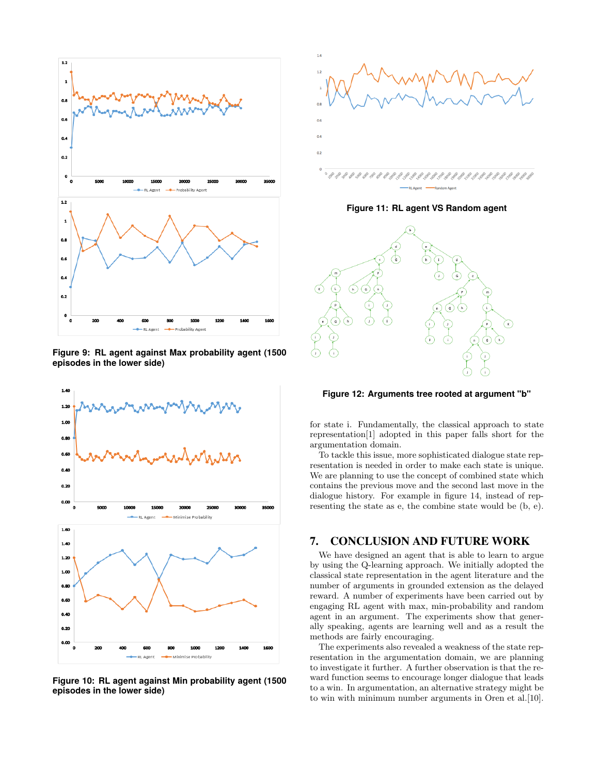

**Figure 9: RL agent against Max probability agent (1500 episodes in the lower side)**



**Figure 10: RL agent against Min probability agent (1500 episodes in the lower side)**



**Figure 11: RL agent VS Random agent**



**Figure 12: Arguments tree rooted at argument "b"**

for state i. Fundamentally, the classical approach to state representation[1] adopted in this paper falls short for the argumentation domain.

To tackle this issue, more sophisticated dialogue state representation is needed in order to make each state is unique. We are planning to use the concept of combined state which contains the previous move and the second last move in the dialogue history. For example in figure 14, instead of representing the state as e, the combine state would be (b, e).

## 7. CONCLUSION AND FUTURE WORK

We have designed an agent that is able to learn to argue by using the Q-learning approach. We initially adopted the classical state representation in the agent literature and the number of arguments in grounded extension as the delayed reward. A number of experiments have been carried out by engaging RL agent with max, min-probability and random agent in an argument. The experiments show that generally speaking, agents are learning well and as a result the methods are fairly encouraging.

The experiments also revealed a weakness of the state representation in the argumentation domain, we are planning to investigate it further. A further observation is that the reward function seems to encourage longer dialogue that leads to a win. In argumentation, an alternative strategy might be to win with minimum number arguments in Oren et al.[10].